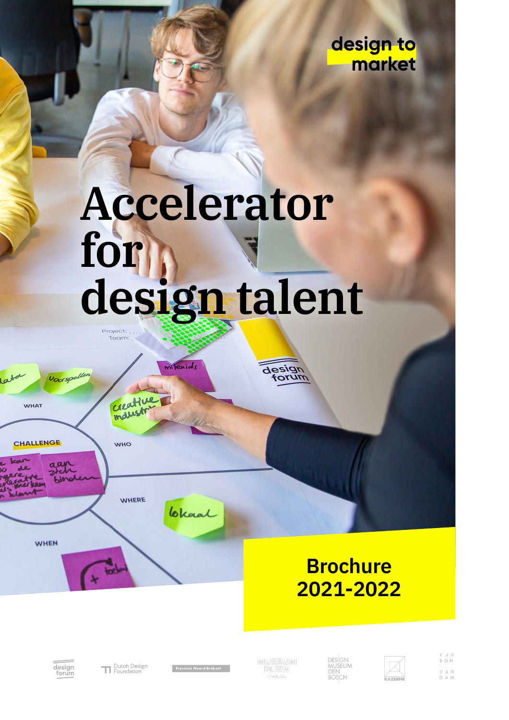design to market

# Accelerator for design talent

mitenials

Project Team

> Creative **maustry**



**WHO** 

**WHEN** 

### **WHERE**

**Brochure** 2021-2022



Dutch Design

Provincie Noord-Brabant

Claral

**IMIUSEUIMI** 

design

 $\overline{m}$ 

DES<sup>I</sup>GN<br>MUSEUM<br>DEN<br>BOSCH



 $\begin{array}{c} V \land N \\ \mathsf{B} \ \mathsf{O} \ \mathsf{M} \end{array}$ V A N<br>D A M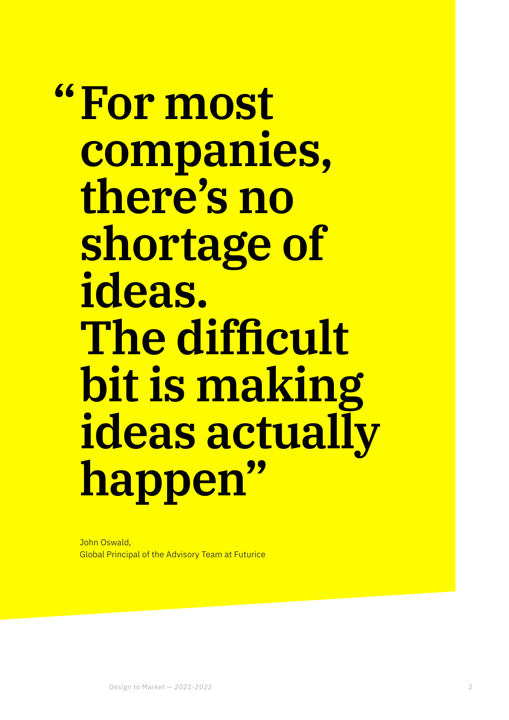## **For most "companies, there's no shortage of ideas. The difficult bit is making ideas actually happen"**

John Oswald, Global Principal of the Advisory Team at Futurice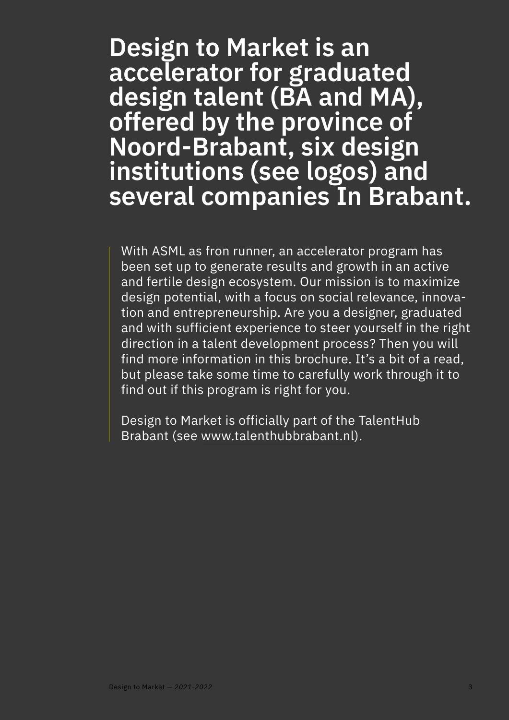### **Design to Market is an accelerator for graduated design talent (BA and MA), offered by the province of Noord-Brabant, six design institutions (see logos) and several companies In Brabant.**

With ASML as fron runner, an accelerator program has been set up to generate results and growth in an active and fertile design ecosystem. Our mission is to maximize design potential, with a focus on social relevance, innovation and entrepreneurship. Are you a designer, graduated and with sufficient experience to steer yourself in the right direction in a talent development process? Then you will find more information in this brochure. It's a bit of a read, but please take some time to carefully work through it to find out if this program is right for you.

Design to Market is officially part of the TalentHub Brabant (see [www.talenthubbrabant.nl\)](http://www.talenthubbrabant.nl).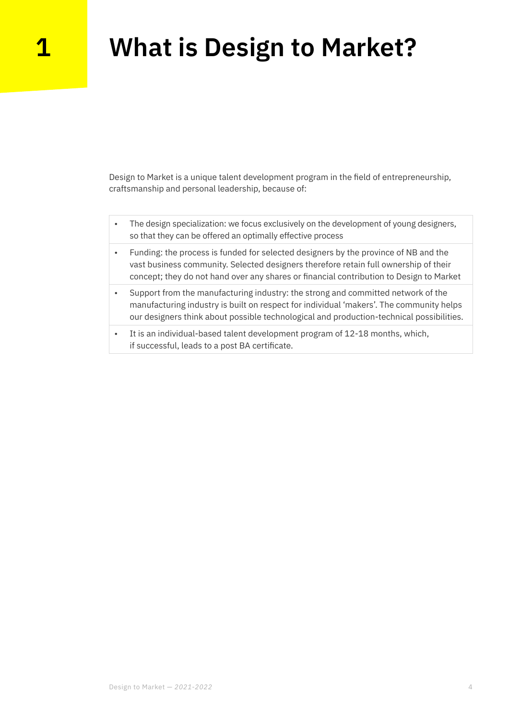### **1 What is Design to Market?**

Design to Market is a unique talent development program in the field of entrepreneurship, craftsmanship and personal leadership, because of:

- The design specialization: we focus exclusively on the development of young designers, so that they can be offered an optimally effective process
- Funding: the process is funded for selected designers by the province of NB and the vast business community. Selected designers therefore retain full ownership of their concept; they do not hand over any shares or financial contribution to Design to Market
- Support from the manufacturing industry: the strong and committed network of the manufacturing industry is built on respect for individual 'makers'. The community helps our designers think about possible technological and production-technical possibilities.
- It is an individual-based talent development program of 12-18 months, which, if successful, leads to a post BA certificate.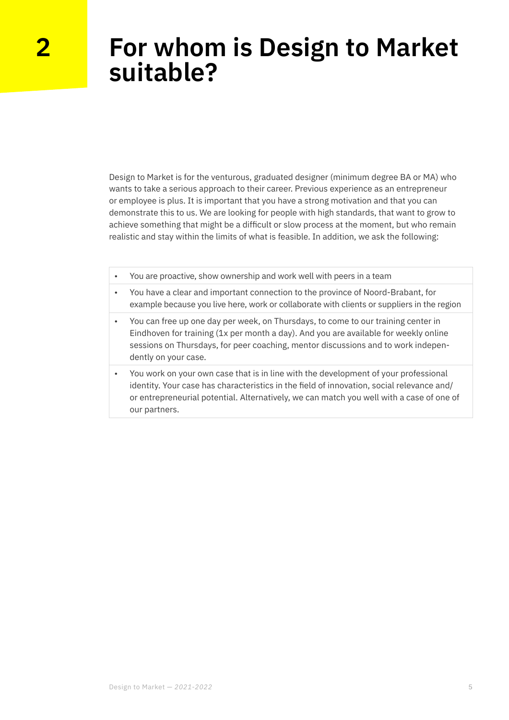### **For whom is Design to Market suitable?**

Design to Market is for the venturous, graduated designer (minimum degree BA or MA) who wants to take a serious approach to their career. Previous experience as an entrepreneur or employee is plus. It is important that you have a strong motivation and that you can demonstrate this to us. We are looking for people with high standards, that want to grow to achieve something that might be a difficult or slow process at the moment, but who remain realistic and stay within the limits of what is feasible. In addition, we ask the following:

- You are proactive, show ownership and work well with peers in a team
- You have a clear and important connection to the province of Noord-Brabant, for example because you live here, work or collaborate with clients or suppliers in the region
- You can free up one day per week, on Thursdays, to come to our training center in Eindhoven for training (1x per month a day). And you are available for weekly online sessions on Thursdays, for peer coaching, mentor discussions and to work independently on your case.
- You work on your own case that is in line with the development of your professional identity. Your case has characteristics in the field of innovation, social relevance and/ or entrepreneurial potential. Alternatively, we can match you well with a case of one of our partners.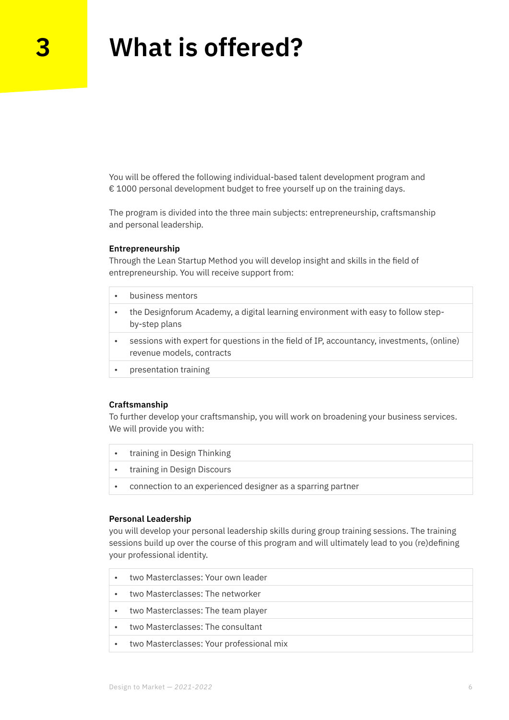### **3 What is offered?**

You will be offered the following individual-based talent development program and € 1000 personal development budget to free yourself up on the training days.

The program is divided into the three main subjects: entrepreneurship, craftsmanship and personal leadership.

#### **Entrepreneurship**

Through the Lean Startup Method you will develop insight and skills in the field of entrepreneurship. You will receive support from:

• business mentors • the Designforum Academy, a digital learning environment with easy to follow stepby-step plans • sessions with expert for questions in the field of IP, accountancy, investments, (online) revenue models, contracts • presentation training

#### **Craftsmanship**

To further develop your craftsmanship, you will work on broadening your business services. We will provide you with:

- training in Design Thinking
- training in Design Discours
- connection to an experienced designer as a sparring partner

#### **Personal Leadership**

you will develop your personal leadership skills during group training sessions. The training sessions build up over the course of this program and will ultimately lead to you (re)defining your professional identity.

| $\bullet$ | two Masterclasses: Your own leader       |
|-----------|------------------------------------------|
| $\bullet$ | two Masterclasses: The networker         |
| $\bullet$ | two Masterclasses: The team player       |
| $\bullet$ | two Masterclasses: The consultant        |
| $\bullet$ | two Masterclasses: Your professional mix |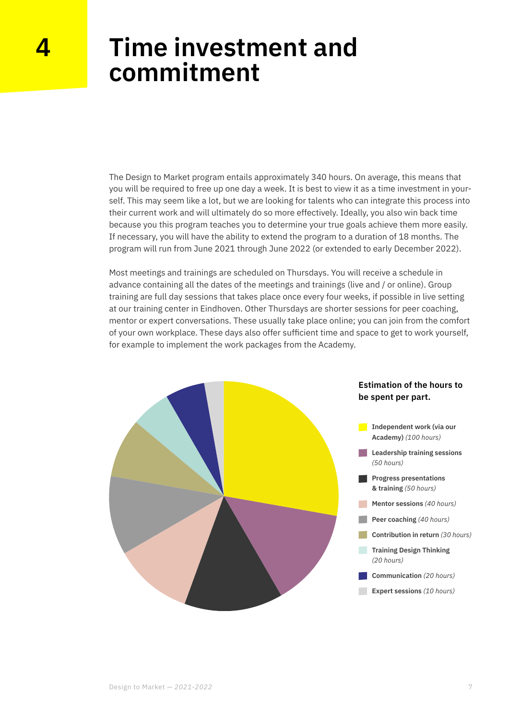### **Time investment and commitment**

The Design to Market program entails approximately 340 hours. On average, this means that you will be required to free up one day a week. It is best to view it as a time investment in yourself. This may seem like a lot, but we are looking for talents who can integrate this process into their current work and will ultimately do so more effectively. Ideally, you also win back time because you this program teaches you to determine your true goals achieve them more easily. If necessary, you will have the ability to extend the program to a duration of 18 months. The program will run from June 2021 through June 2022 (or extended to early December 2022).

Most meetings and trainings are scheduled on Thursdays. You will receive a schedule in advance containing all the dates of the meetings and trainings (live and / or online). Group training are full day sessions that takes place once every four weeks, if possible in live setting at our training center in Eindhoven. Other Thursdays are shorter sessions for peer coaching, mentor or expert conversations. These usually take place online; you can join from the comfort of your own workplace. These days also offer sufficient time and space to get to work yourself, for example to implement the work packages from the Academy.

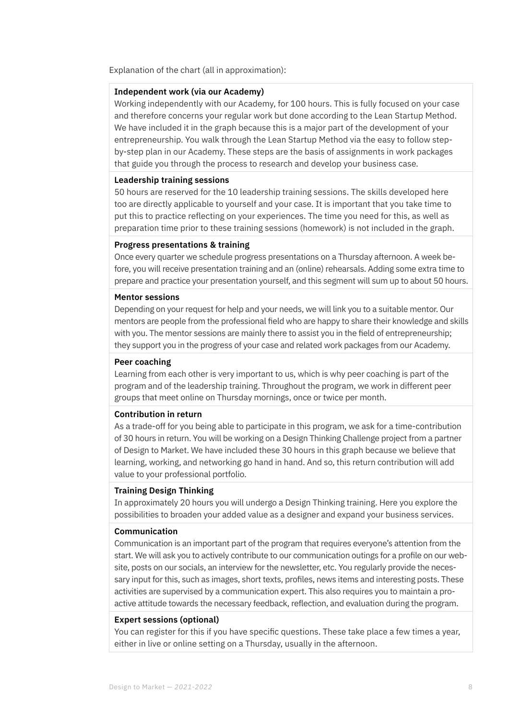Explanation of the chart (all in approximation):

#### **Independent work (via our Academy)**

Working independently with our Academy, for 100 hours. This is fully focused on your case and therefore concerns your regular work but done according to the Lean Startup Method. We have included it in the graph because this is a major part of the development of your entrepreneurship. You walk through the Lean Startup Method via the easy to follow stepby-step plan in our Academy. These steps are the basis of assignments in work packages that guide you through the process to research and develop your business case.

#### **Leadership training sessions**

50 hours are reserved for the 10 leadership training sessions. The skills developed here too are directly applicable to yourself and your case. It is important that you take time to put this to practice reflecting on your experiences. The time you need for this, as well as preparation time prior to these training sessions (homework) is not included in the graph.

#### **Progress presentations & training**

Once every quarter we schedule progress presentations on a Thursday afternoon. A week before, you will receive presentation training and an (online) rehearsals. Adding some extra time to prepare and practice your presentation yourself, and this segment will sum up to about 50 hours.

#### **Mentor sessions**

Depending on your request for help and your needs, we will link you to a suitable mentor. Our mentors are people from the professional field who are happy to share their knowledge and skills with you. The mentor sessions are mainly there to assist you in the field of entrepreneurship; they support you in the progress of your case and related work packages from our Academy.

#### **Peer coaching**

Learning from each other is very important to us, which is why peer coaching is part of the program and of the leadership training. Throughout the program, we work in different peer groups that meet online on Thursday mornings, once or twice per month.

#### **Contribution in return**

As a trade-off for you being able to participate in this program, we ask for a time-contribution of 30 hours in return. You will be working on a Design Thinking Challenge project from a partner of Design to Market. We have included these 30 hours in this graph because we believe that learning, working, and networking go hand in hand. And so, this return contribution will add value to your professional portfolio.

#### **Training Design Thinking**

In approximately 20 hours you will undergo a Design Thinking training. Here you explore the possibilities to broaden your added value as a designer and expand your business services.

#### **Communication**

Communication is an important part of the program that requires everyone's attention from the start. We will ask you to actively contribute to our communication outings for a profile on our website, posts on our socials, an interview for the newsletter, etc. You regularly provide the necessary input for this, such as images, short texts, profiles, news items and interesting posts. These activities are supervised by a communication expert. This also requires you to maintain a proactive attitude towards the necessary feedback, reflection, and evaluation during the program.

#### **Expert sessions (optional)**

You can register for this if you have specific questions. These take place a few times a year, either in live or online setting on a Thursday, usually in the afternoon.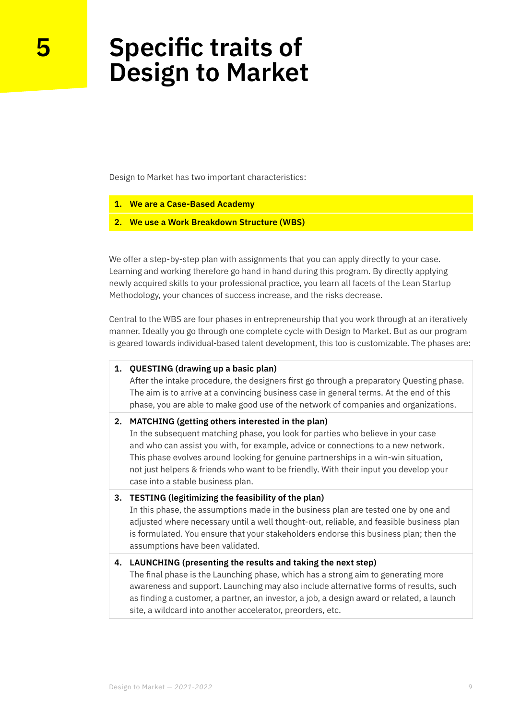### **Specific traits of Design to Market**

Design to Market has two important characteristics:

- **1. We are a Case-Based Academy**
- **2. We use a Work Breakdown Structure (WBS)**

We offer a step-by-step plan with assignments that you can apply directly to your case. Learning and working therefore go hand in hand during this program. By directly applying newly acquired skills to your professional practice, you learn all facets of the Lean Startup Methodology, your chances of success increase, and the risks decrease.

Central to the WBS are four phases in entrepreneurship that you work through at an iteratively manner. Ideally you go through one complete cycle with Design to Market. But as our program is geared towards individual-based talent development, this too is customizable. The phases are:

#### **1. QUESTING (drawing up a basic plan)**

After the intake procedure, the designers first go through a preparatory Questing phase. The aim is to arrive at a convincing business case in general terms. At the end of this phase, you are able to make good use of the network of companies and organizations.

#### **2. MATCHING (getting others interested in the plan)**

In the subsequent matching phase, you look for parties who believe in your case and who can assist you with, for example, advice or connections to a new network. This phase evolves around looking for genuine partnerships in a win-win situation, not just helpers & friends who want to be friendly. With their input you develop your case into a stable business plan.

#### **3. TESTING (legitimizing the feasibility of the plan)**

In this phase, the assumptions made in the business plan are tested one by one and adjusted where necessary until a well thought-out, reliable, and feasible business plan is formulated. You ensure that your stakeholders endorse this business plan; then the assumptions have been validated.

#### **4. LAUNCHING (presenting the results and taking the next step)**

The final phase is the Launching phase, which has a strong aim to generating more awareness and support. Launching may also include alternative forms of results, such as finding a customer, a partner, an investor, a job, a design award or related, a launch site, a wildcard into another accelerator, preorders, etc.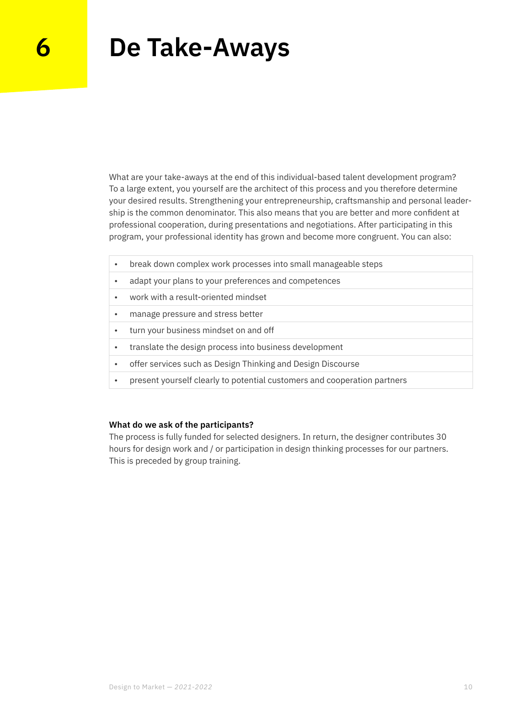### **6 De Take-Aways**

What are your take-aways at the end of this individual-based talent development program? To a large extent, you yourself are the architect of this process and you therefore determine your desired results. Strengthening your entrepreneurship, craftsmanship and personal leadership is the common denominator. This also means that you are better and more confident at professional cooperation, during presentations and negotiations. After participating in this program, your professional identity has grown and become more congruent. You can also:

- break down complex work processes into small manageable steps
- adapt your plans to your preferences and competences
- work with a result-oriented mindset
- manage pressure and stress better
- turn your business mindset on and off
- translate the design process into business development
- offer services such as Design Thinking and Design Discourse
- present yourself clearly to potential customers and cooperation partners

#### **What do we ask of the participants?**

The process is fully funded for selected designers. In return, the designer contributes 30 hours for design work and / or participation in design thinking processes for our partners. This is preceded by group training.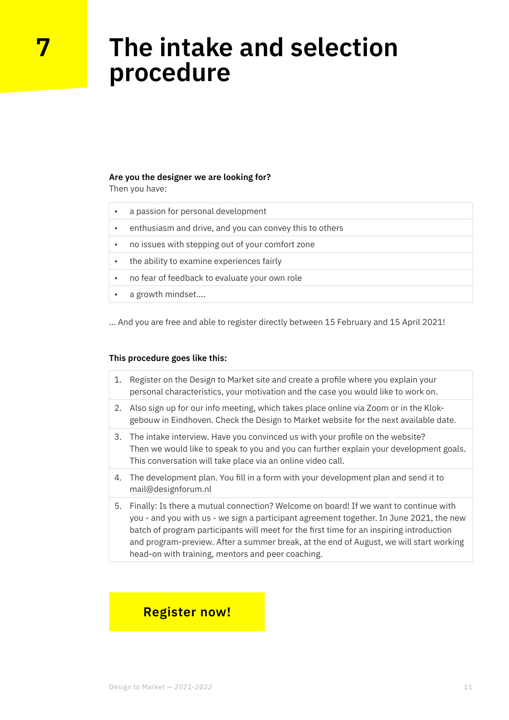### **The intake and selection procedure**

#### **Are you the designer we are looking for?**

Then you have:

**7**

- a passion for personal development
- enthusiasm and drive, and you can convey this to others
- no issues with stepping out of your comfort zone
- the ability to examine experiences fairly
- no fear of feedback to evaluate your own role
- a growth mindset….

… And you are free and able to register directly between 15 February and 15 April 2021!

#### **This procedure goes like this:**

- 1. Register on the Design to Market site and create a profile where you explain your personal characteristics, your motivation and the case you would like to work on.
- 2. Also sign up for our info meeting, which takes place online via Zoom or in the Klokgebouw in Eindhoven. Check the Design to Market website for the next available date.
- 3. The intake interview. Have you convinced us with your profile on the website? Then we would like to speak to you and you can further explain your development goals. This conversation will take place via an online video call.
- 4. The development plan. You fill in a form with your development plan and send it to [mail@designforum.nl](mailto:mail%40designforum.nl?subject=Inschrijving%20Design%20to%20Market%202021-2022)
- 5. Finally: Is there a mutual connection? Welcome on board! If we want to continue with you - and you with us - we sign a participant agreement together. In June 2021, the new batch of program participants will meet for the first time for an inspiring introduction and program-preview. After a summer break, at the end of August, we will start working head-on with training, mentors and peer coaching.

#### **[Register now!](mailto:mail%40designforum.nl?subject=Aanmelding%20Design%20to%20Market%202021-2022)**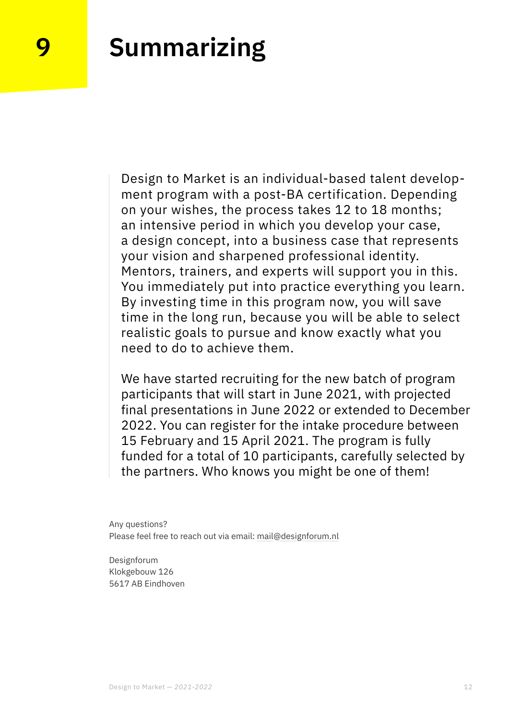### **9 Summarizing**

Design to Market is an individual-based talent development program with a post-BA certification. Depending on your wishes, the process takes 12 to 18 months; an intensive period in which you develop your case, a design concept, into a business case that represents your vision and sharpened professional identity. Mentors, trainers, and experts will support you in this. You immediately put into practice everything you learn. By investing time in this program now, you will save time in the long run, because you will be able to select realistic goals to pursue and know exactly what you need to do to achieve them.

We have started recruiting for the new batch of program participants that will start in June 2021, with projected final presentations in June 2022 or extended to December 2022. You can register for the intake procedure between 15 February and 15 April 2021. The program is fully funded for a total of 10 participants, carefully selected by the partners. Who knows you might be one of them!

Any questions? Please feel free to reach out via email: [mail@designforum.nl](mailto:mail%40designforum.nl%20?subject=Vraag%20betreffende%20Design%20to%20Market%202021-2022) 

Designforum Klokgebouw 126 5617 AB Eindhoven